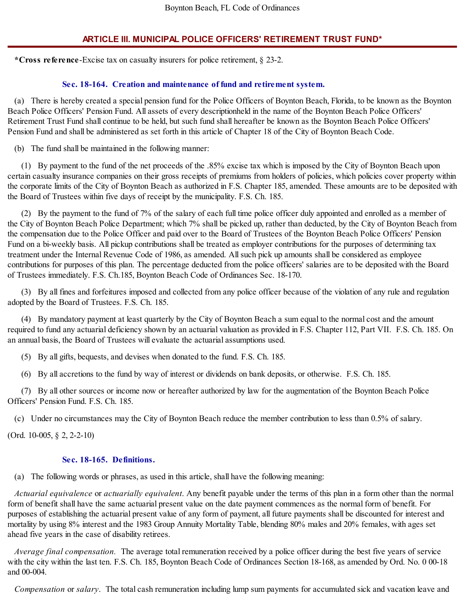# **ARTICLE III. MUNICIPAL POLICE OFFICERS' RETIREMENT TRUST FUND\***

**\*Cross reference**-Excise tax on casualty insurers for police retirement, § 23-2.

## **Sec. 18-164. Creation and maintenance of fund and retirement system.**

(a) There is hereby created a special pension fund for the Police Officers of Boynton Beach, Florida, to be known as the Boynton Beach Police Officers' Pension Fund. All assets of every descriptionheld in the name of the Boynton Beach Police Officers' Retirement Trust Fund shall continue to be held, but such fund shall hereafter be known as the Boynton Beach Police Officers' Pension Fund and shall be administered as set forth in this article of Chapter 18 of the City of Boynton Beach Code.

(b) The fund shall be maintained in the following manner:

(1) By payment to the fund of the net proceeds of the .85% excise tax which is imposed by the City of Boynton Beach upon certain casualty insurance companies on their gross receipts of premiums from holders of policies, which policies cover property within the corporate limits of the City of Boynton Beach as authorized in F.S. Chapter 185, amended. These amounts are to be deposited with the Board of Trustees within five days of receipt by the municipality. F.S. Ch. 185.

(2) By the payment to the fund of 7% of the salary of each full time police officer duly appointed and enrolled as a member of the City of Boynton Beach Police Department; which 7% shall be picked up, rather than deducted, by the City of Boynton Beach from the compensation due to the Police Officer and paid over to the Board of Trustees of the Boynton Beach Police Officers' Pension Fund on a bi-weekly basis. All pickup contributions shall be treated as employer contributions for the purposes of determining tax treatment under the Internal Revenue Code of 1986, as amended. Allsuch pick up amounts shall be considered as employee contributions for purposes of this plan. The percentage deducted from the police officers' salaries are to be deposited with the Board of Trustees immediately. F.S. Ch.185, Boynton Beach Code of Ordinances Sec. 18-170.

(3) By all fines and forfeitures imposed and collected from any police officer because of the violation of any rule and regulation adopted by the Board of Trustees. F.S. Ch. 185.

(4) By mandatory payment at least quarterly by the City of Boynton Beach a sum equal to the normal cost and the amount required to fund any actuarial deficiency shown by an actuarial valuation as provided in F.S. Chapter 112, Part VII. F.S. Ch. 185. On an annual basis, the Board of Trustees will evaluate the actuarial assumptions used.

- (5) By all gifts, bequests, and devises when donated to the fund. F.S. Ch. 185.
- (6) By all accretions to the fund by way of interest or dividends on bank deposits, or otherwise. F.S. Ch. 185.

(7) By all other sources or income now or hereafter authorized by law for the augmentation of the Boynton Beach Police Officers' Pension Fund. F.S. Ch. 185.

(c) Under no circumstances may the City of Boynton Beach reduce the member contribution to less than 0.5% of salary.

(Ord. 10-005, § 2, 2-2-10)

#### **Sec. 18-165. Definitions.**

(a) The following words or phrases, as used in this article, shall have the following meaning:

*Actuarial equivalence* or *actuarially equivalent*. Any benefit payable under the terms of this plan in a form other than the normal form of benefit shall have the same actuarial present value on the date payment commences as the normal form of benefit. For purposes of establishing the actuarial present value of any form of payment, all future payments shall be discounted for interest and mortality by using 8% interest and the 1983 Group Annuity Mortality Table, blending 80% males and 20% females, with ages set ahead five years in the case of disability retirees.

*Average final compensation.* The average total remuneration received by a police officer during the best five years of service with the city within the last ten. F.S. Ch. 185, Boynton Beach Code of Ordinances Section 18-168, as amended by Ord. No. 0 00-18 and 00-004.

*Compensation* or *salary*. The total cash remuneration including lump sum payments for accumulated sick and vacation leave and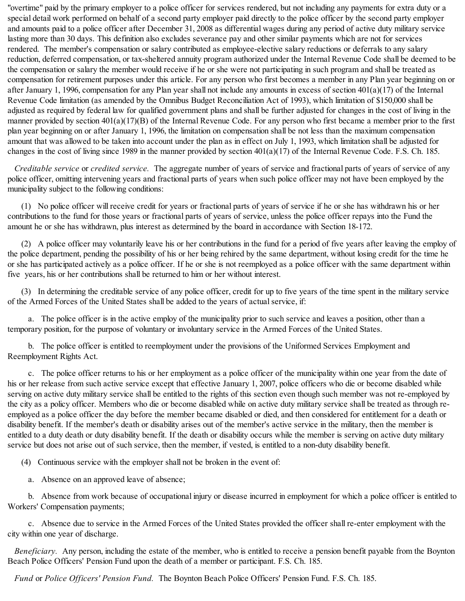"overtime" paid by the primary employer to a police officer for services rendered, but not including any payments for extra duty or a special detail work performed on behalf of a second party employer paid directly to the police officer by the second party employer and amounts paid to a police officer after December 31, 2008 as differential wages during any period of active duty military service lasting more than 30 days. This definition also excludes severance pay and other similar payments which are not for services rendered. The member's compensation or salary contributed as employee-elective salary reductions or deferrals to any salary reduction, deferred compensation, or tax-sheltered annuity program authorized under the Internal Revenue Code shall be deemed to be the compensation or salary the member would receive if he or she were not participating in such program and shall be treated as compensation for retirement purposes under this article. For any person who first becomes a member in any Plan year beginning on or after January 1, 1996, compensation for any Plan year shall not include any amounts in excess of section  $401(a)(17)$  of the Internal Revenue Code limitation (as amended by the Omnibus Budget Reconciliation Act of 1993), which limitation of \$150,000 shall be adjusted as required by federal law for qualified government plans and shall be further adjusted for changes in the cost of living in the manner provided by section 401(a)(17)(B) of the Internal Revenue Code. For any person who first became a member prior to the first plan year beginning on or after January 1, 1996, the limitation on compensation shall be not less than the maximum compensation amount that was allowed to be taken into account under the plan as in effect on July 1, 1993, which limitation shall be adjusted for changes in the cost of living since 1989 in the manner provided by section 401(a)(17) of the Internal Revenue Code. F.S. Ch. 185.

*Creditable service* or *credited service.* The aggregate number of years of service and fractional parts of years of service of any police officer, omitting intervening years and fractional parts of years when such police officer may not have been employed by the municipality subject to the following conditions:

(1) No police officer will receive credit for years or fractional parts of years of service if he or she has withdrawn his or her contributions to the fund for those years or fractional parts of years of service, unless the police officer repays into the Fund the amount he or she has withdrawn, plus interest as determined by the board in accordance with Section 18-172.

(2) A police officer may voluntarily leave his or her contributions in the fund for a period of five years after leaving the employ of the police department, pending the possibility of his or her being rehired by the same department, without losing credit for the time he or she has participated actively as a police officer. If he or she is not reemployed as a police officer with the same department within five years, his or her contributions shall be returned to him or her without interest.

(3) In determining the creditable service of any police officer, credit for up to five years of the time spent in the military service of the Armed Forces of the United States shall be added to the years of actual service, if:

a. The police officer is in the active employ of the municipality prior to such service and leaves a position, other than a temporary position, for the purpose of voluntary or involuntary service in the Armed Forces of the United States.

b. The police officer is entitled to reemployment under the provisions of the Uniformed Services Employment and Reemployment Rights Act.

c. The police officer returns to his or her employment as a police officer of the municipality within one year from the date of his or her release from such active service except that effective January 1, 2007, police officers who die or become disabled while serving on active duty military service shall be entitled to the rights of this section even though such member was not re-employed by the city as a policy officer. Members who die or become disabled while on active duty military service shall be treated as through reemployed as a police officer the day before the member became disabled or died, and then considered for entitlement for a death or disability benefit. If the member's death or disability arises out of the member's active service in the military, then the member is entitled to a duty death or duty disability benefit. If the death or disability occurs while the member is serving on active duty military service but does not arise out of such service, then the member, if vested, is entitled to a non-duty disability benefit.

(4) Continuous service with the employer shall not be broken in the event of:

a. Absence on an approved leave of absence;

b. Absence from work because of occupational injury or disease incurred in employment for which a police officer is entitled to Workers' Compensation payments;

c. Absence due to service in the Armed Forces of the United States provided the officer shall re-enter employment with the city within one year of discharge.

*Beneficiary.* Any person, including the estate of the member, who is entitled to receive a pension benefit payable from the Boynton Beach Police Officers' Pension Fund upon the death of a member or participant. F.S. Ch. 185.

*Fund* or *Police Officers' Pension Fund.* The Boynton Beach Police Officers' Pension Fund. F.S. Ch. 185.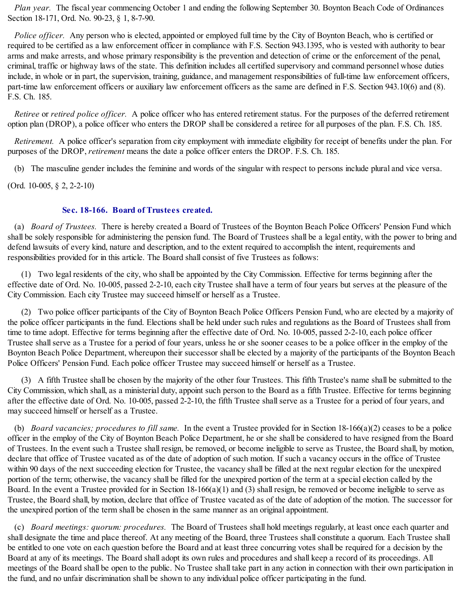*Plan year.* The fiscal year commencing October 1 and ending the following September 30. Boynton Beach Code of Ordinances Section 18-171, Ord. No. 90-23, § 1, 8-7-90.

*Police officer.* Any person who is elected, appointed or employed full time by the City of Boynton Beach, who is certified or required to be certified as a law enforcement officer in compliance with F.S. Section 943.1395, who is vested with authority to bear arms and make arrests, and whose primary responsibility is the prevention and detection of crime or the enforcement of the penal, criminal, traffic or highway laws of the state. This definition includes all certified supervisory and command personnel whose duties include, in whole or in part, the supervision, training, guidance, and management responsibilities of full-time law enforcement officers, part-time law enforcement officers or auxiliary law enforcement officers as the same are defined in F.S. Section 943.10(6) and (8). F.S. Ch. 185.

*Retiree* or *retired police officer.* A police officer who has entered retirement status. For the purposes of the deferred retirement option plan (DROP), a police officer who enters the DROP shall be considered a retiree for all purposes of the plan. F.S. Ch. 185.

*Retirement.* A police officer's separation from city employment with immediate eligibility for receipt of benefits under the plan. For purposes of the DROP, *retirement* means the date a police officer enters the DROP. F.S. Ch. 185.

(b) The masculine gender includes the feminine and words of the singular with respect to persons include plural and vice versa.

(Ord. 10-005, § 2, 2-2-10)

## **Sec. 18-166. Board of Trustees created.**

(a) *Board of Trustees.* There is hereby created a Board of Trustees of the Boynton Beach Police Officers' Pension Fund which shall be solely responsible for administering the pension fund. The Board of Trustees shall be a legal entity, with the power to bring and defend lawsuits of every kind, nature and description, and to the extent required to accomplish the intent, requirements and responsibilities provided for in this article. The Board shall consist of five Trustees as follows:

(1) Two legal residents of the city, who shall be appointed by the City Commission. Effective for terms beginning after the effective date of Ord. No. 10-005, passed 2-2-10, each city Trustee shall have a term of four years but serves at the pleasure of the City Commission. Each city Trustee may succeed himself or herself as a Trustee.

(2) Two police officer participants of the City of Boynton Beach Police Officers Pension Fund, who are elected by a majority of the police officer participants in the fund. Elections shall be held under such rules and regulations as the Board of Trustees shall from time to time adopt. Effective for terms beginning after the effective date of Ord. No. 10-005, passed 2-2-10, each police officer Trustee shallserve as a Trustee for a period of four years, unless he or she sooner ceases to be a police officer in the employ of the Boynton Beach Police Department, whereupon their successor shall be elected by a majority of the participants of the Boynton Beach Police Officers' Pension Fund. Each police officer Trustee may succeed himself or herself as a Trustee.

(3) A fifth Trustee shall be chosen by the majority of the other four Trustees. This fifth Trustee's name shall be submitted to the City Commission, which shall, as a ministerial duty, appoint such person to the Board as a fifth Trustee. Effective for terms beginning after the effective date of Ord. No. 10-005, passed 2-2-10, the fifth Trustee shall serve as a Trustee for a period of four years, and may succeed himself or herself as a Trustee.

(b) *Board vacancies; procedures to fill same.* In the event a Trustee provided for in Section 18-166(a)(2) ceases to be a police officer in the employ of the City of Boynton Beach Police Department, he or she shall be considered to have resigned from the Board of Trustees. In the event such a Trustee shall resign, be removed, or become ineligible to serve as Trustee, the Board shall, by motion, declare that office of Trustee vacated as of the date of adoption of such motion. If such a vacancy occurs in the office of Trustee within 90 days of the next succeeding election for Trustee, the vacancy shall be filled at the next regular election for the unexpired portion of the term; otherwise, the vacancy shall be filled for the unexpired portion of the term at a special election called by the Board. In the event a Trustee provided for in Section 18-166(a)(1) and (3) shall resign, be removed or become ineligible to serve as Trustee, the Board shall, by motion, declare that office of Trustee vacated as of the date of adoption of the motion. The successor for the unexpired portion of the term shall be chosen in the same manner as an original appointment.

(c) *Board meetings: quorum: procedures.* The Board of Trustees shall hold meetings regularly, at least once each quarter and shall designate the time and place thereof. At any meeting of the Board, three Trustees shall constitute a quorum. Each Trustee shall be entitled to one vote on each question before the Board and at least three concurring votes shall be required for a decision by the Board at any of its meetings. The Board shall adopt its own rules and procedures and shall keep a record of its proceedings. All meetings of the Board shall be open to the public. No Trustee shall take part in any action in connection with their own participation in the fund, and no unfair discrimination shall be shown to any individual police officer participating in the fund.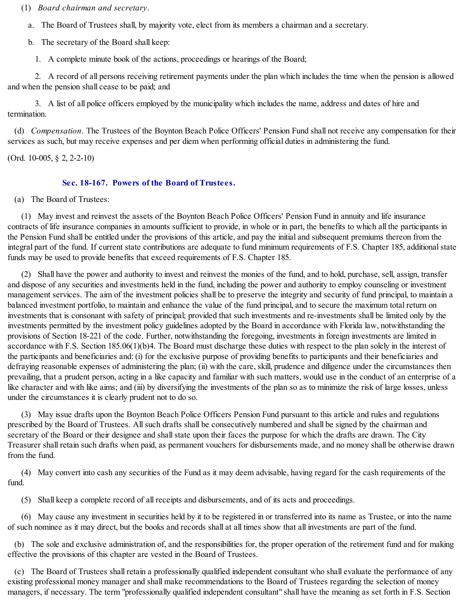(1) *Board chairman and secretary*.

a. The Board of Trustees shall, by majority vote, elect from its members a chairman and a secretary.

b. The secretary of the Board shall keep:

1. A complete minute book of the actions, proceedings or hearings of the Board;

2. A record of all persons receiving retirement payments under the plan which includes the time when the pension is allowed and when the pension shall cease to be paid; and

3. A list of all police officers employed by the municipality which includes the name, address and dates of hire and termination.

(d) *Compensation*. The Trustees of the Boynton Beach Police Officers' Pension Fund shall not receive any compensation for their services as such, but may receive expenses and per diem when performing official duties in administering the fund.

(Ord. 10-005, § 2, 2-2-10)

## **Sec. 18-167. Powers of the Board of Trustees.**

(a) The Board of Trustees:

(1) May invest and reinvest the assets of the Boynton Beach Police Officers' Pension Fund in annuity and life insurance contracts of life insurance companies in amounts sufficient to provide, in whole or in part, the benefits to which all the participants in the Pension Fund shall be entitled under the provisions of this article, and pay the initial and subsequent premiums thereon from the integral part of the fund. If current state contributions are adequate to fund minimum requirements of F.S. Chapter 185, additionalstate funds may be used to provide benefits that exceed requirements of F.S. Chapter 185.

(2) Shall have the power and authority to invest and reinvest the monies of the fund, and to hold, purchase, sell, assign, transfer and dispose of any securities and investments held in the fund, including the power and authority to employ counseling or investment management services. The aim of the investment policies shall be to preserve the integrity and security of fund principal, to maintain a balanced investment portfolio, to maintain and enhance the value of the fund principal, and to secure the maximum total return on investments that is consonant with safety of principal; provided that such investments and re-investments shall be limited only by the investments permitted by the investment policy guidelines adopted by the Board in accordance with Florida law, notwithstanding the provisions of Section 18-221 of the code. Further, notwithstanding the foregoing, investments in foreign investments are limited in accordance with F.S. Section 185.06(1)(b)4. The Board must discharge these duties with respect to the plan solely in the interest of the participants and beneficiaries and: (i) for the exclusive purpose of providing benefits to participants and their beneficiaries and defraying reasonable expenses of administering the plan; (ii) with the care, skill, prudence and diligence under the circumstances then prevailing, that a prudent person, acting in a like capacity and familiar with such matters, would use in the conduct of an enterprise of a like character and with like aims; and (iii) by diversifying the investments of the plan so as to minimize the risk of large losses, unless under the circumstances it is clearly prudent not to do so.

(3) May issue drafts upon the Boynton Beach Police Officers Pension Fund pursuant to this article and rules and regulations prescribed by the Board of Trustees. Allsuch drafts shall be consecutively numbered and shall be signed by the chairman and secretary of the Board or their designee and shall state upon their faces the purpose for which the drafts are drawn. The City Treasurer shall retain such drafts when paid, as permanent vouchers for disbursements made, and no money shall be otherwise drawn from the fund.

(4) May convert into cash any securities of the Fund as it may deem advisable, having regard for the cash requirements of the fund.

(5) Shall keep a complete record of all receipts and disbursements, and of its acts and proceedings.

(6) May cause any investment in securities held by it to be registered in or transferred into its name as Trustee, or into the name of such nominee as it may direct, but the books and records shall at all times show that all investments are part of the fund.

(b) The sole and exclusive administration of, and the responsibilities for, the proper operation of the retirement fund and for making effective the provisions of this chapter are vested in the Board of Trustees.

(c) The Board of Trustees shall retain a professionally qualified independent consultant who shall evaluate the performance of any existing professional money manager and shall make recommendations to the Board of Trustees regarding the selection of money managers, if necessary. The term "professionally qualified independent consultant" shall have the meaning as set forth in F.S. Section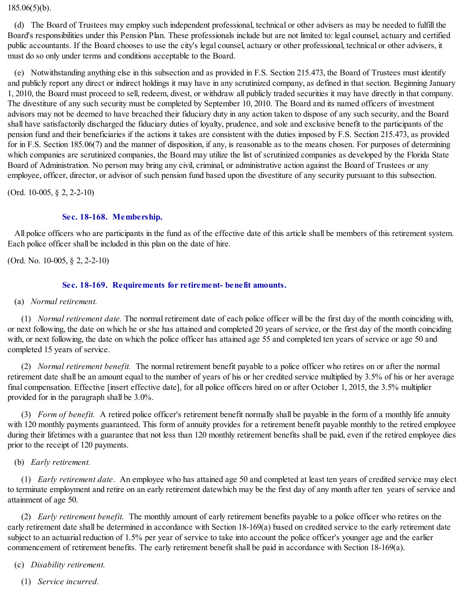185.06(5)(b).

(d) The Board of Trustees may employ such independent professional, technical or other advisers as may be needed to fulfill the Board's responsibilities under this Pension Plan. These professionals include but are not limited to: legal counsel, actuary and certified public accountants. If the Board chooses to use the city's legal counsel, actuary or other professional, technical or other advisers, it must do so only under terms and conditions acceptable to the Board.

(e) Notwithstanding anything else in this subsection and as provided in F.S. Section 215.473, the Board of Trustees must identify and publicly report any direct or indirect holdings it may have in any scrutinized company, as defined in that section. Beginning January 1, 2010, the Board must proceed to sell, redeem, divest, or withdraw all publicly traded securities it may have directly in that company. The divestiture of any such security must be completed by September 10, 2010. The Board and its named officers of investment advisors may not be deemed to have breached their fiduciary duty in any action taken to dispose of any such security, and the Board shall have satisfactorily discharged the fiduciary duties of loyalty, prudence, and sole and exclusive benefit to the participants of the pension fund and their beneficiaries if the actions it takes are consistent with the duties imposed by F.S. Section 215.473, as provided for in F.S. Section 185.06(7) and the manner of disposition, if any, is reasonable as to the means chosen. For purposes of determining which companies are scrutinized companies, the Board may utilize the list of scrutinized companies as developed by the Florida State Board of Administration. No person may bring any civil, criminal, or administrative action against the Board of Trustees or any employee, officer, director, or advisor of such pension fund based upon the divestiture of any security pursuant to this subsection.

(Ord. 10-005, § 2, 2-2-10)

## **Sec. 18-168. Membership.**

All police officers who are participants in the fund as of the effective date of this article shall be members of this retirement system. Each police officer shall be included in this plan on the date of hire.

(Ord. No. 10-005, § 2, 2-2-10)

## **Sec. 18-169. Requirements for retirement- benefit amounts.**

#### (a) *Normal retirement.*

(1) *Normal retirement date.* The normal retirement date of each police officer will be the first day of the month coinciding with, or next following, the date on which he or she has attained and completed 20 years of service, or the first day of the month coinciding with, or next following, the date on which the police officer has attained age 55 and completed ten years of service or age 50 and completed 15 years of service.

(2) *Normal retirement benefit.* The normal retirement benefit payable to a police officer who retires on or after the normal retirement date shall be an amount equal to the number of years of his or her credited service multiplied by 3.5% of his or her average final compensation. Effective [insert effective date], for all police officers hired on or after October 1, 2015, the 3.5% multiplier provided for in the paragraph shall be 3.0%.

(3) *Form of benefit.* A retired police officer's retirement benefit normally shall be payable in the form of a monthly life annuity with 120 monthly payments guaranteed. This form of annuity provides for a retirement benefit payable monthly to the retired employee during their lifetimes with a guarantee that not less than 120 monthly retirement benefits shall be paid, even if the retired employee dies prior to the receipt of 120 payments.

## (b) *Early retirement.*

(1) *Early retirement date*. An employee who has attained age 50 and completed at least ten years of credited service may elect to terminate employment and retire on an early retirement datewhich may be the first day of any month after ten years of service and attainment of age 50.

(2) *Early retirement benefit.* The monthly amount of early retirement benefits payable to a police officer who retires on the early retirement date shall be determined in accordance with Section 18-169(a) based on credited service to the early retirement date subject to an actuarial reduction of 1.5% per year of service to take into account the police officer's younger age and the earlier commencement of retirement benefits. The early retirement benefit shall be paid in accordance with Section 18-169(a).

- (c) *Disability retirement.*
	- (1) *Service incurred.*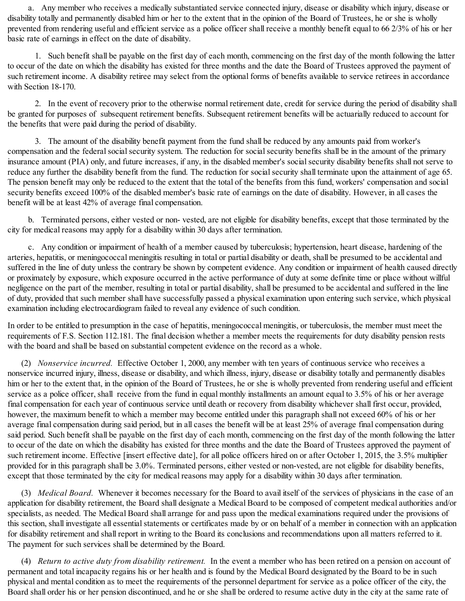a. Any member who receives a medically substantiated service connected injury, disease or disability which injury, disease or disability totally and permanently disabled him or her to the extent that in the opinion of the Board of Trustees, he or she is wholly prevented from rendering useful and efficient service as a police officer shall receive a monthly benefit equal to 66 2/3% of his or her basic rate of earnings in effect on the date of disability.

1. Such benefit shall be payable on the first day of each month, commencing on the first day of the month following the latter to occur of the date on which the disability has existed for three months and the date the Board of Trustees approved the payment of such retirement income. A disability retiree may select from the optional forms of benefits available to service retirees in accordance with Section 18-170.

2. In the event of recovery prior to the otherwise normal retirement date, credit for service during the period of disability shall be granted for purposes of subsequent retirement benefits. Subsequent retirement benefits will be actuarially reduced to account for the benefits that were paid during the period of disability.

3. The amount of the disability benefit payment from the fund shall be reduced by any amounts paid from worker's compensation and the federal social security system. The reduction for social security benefits shall be in the amount of the primary insurance amount (PIA) only, and future increases, if any, in the disabled member's socialsecurity disability benefits shall not serve to reduce any further the disability benefit from the fund. The reduction for social security shall terminate upon the attainment of age 65. The pension benefit may only be reduced to the extent that the total of the benefits from this fund, workers' compensation and social security benefits exceed 100% of the disabled member's basic rate of earnings on the date of disability. However, in all cases the benefit will be at least 42% of average final compensation.

b. Terminated persons, either vested or non- vested, are not eligible for disability benefits, except that those terminated by the city for medical reasons may apply for a disability within 30 days after termination.

c. Any condition or impairment of health of a member caused by tuberculosis; hypertension, heart disease, hardening of the arteries, hepatitis, or meningococcal meningitis resulting in total or partial disability or death, shall be presumed to be accidental and suffered in the line of duty unless the contrary be shown by competent evidence. Any condition or impairment of health caused directly or proximately by exposure, which exposure occurred in the active performance of duty at some definite time or place without willful negligence on the part of the member, resulting in total or partial disability, shall be presumed to be accidental and suffered in the line of duty, provided that such member shall have successfully passed a physical examination upon entering such service, which physical examination including electrocardiogram failed to reveal any evidence of such condition.

In order to be entitled to presumption in the case of hepatitis, meningococcal meningitis, or tuberculosis, the member must meet the requirements of F.S. Section 112.181. The final decision whether a member meets the requirements for duty disability pension rests with the board and shall be based on substantial competent evidence on the record as a whole.

(2) *Nonservice incurred.* Effective October 1, 2000, any member with ten years of continuous service who receives a nonservice incurred injury, illness, disease or disability, and which illness, injury, disease or disability totally and permanently disables him or her to the extent that, in the opinion of the Board of Trustees, he or she is wholly prevented from rendering useful and efficient service as a police officer, shall receive from the fund in equal monthly installments an amount equal to 3.5% of his or her average final compensation for each year of continuous service until death or recovery from disability whichever shall first occur, provided, however, the maximum benefit to which a member may become entitled under this paragraph shall not exceed 60% of his or her average final compensation during said period, but in all cases the benefit will be at least 25% of average final compensation during said period. Such benefit shall be payable on the first day of each month, commencing on the first day of the month following the latter to occur of the date on which the disability has existed for three months and the date the Board of Trustees approved the payment of such retirement income. Effective [insert effective date], for all police officers hired on or after October 1, 2015, the 3.5% multiplier provided for in this paragraph shall be 3.0%. Terminated persons, either vested or non-vested, are not eligible for disability benefits, except that those terminated by the city for medical reasons may apply for a disability within 30 days after termination.

(3) *Medical Board.* Whenever it becomes necessary for the Board to avail itself of the services of physicians in the case of an application for disability retirement, the Board shall designate a Medical Board to be composed of competent medical authorities and/or specialists, as needed. The Medical Board shall arrange for and pass upon the medical examinations required under the provisions of this section, shall investigate all essential statements or certificates made by or on behalf of a member in connection with an application for disability retirement and shall report in writing to the Board its conclusions and recommendations upon all matters referred to it. The payment for such services shall be determined by the Board.

(4) *Return to active duty from disability retirement.* In the event a member who has been retired on a pension on account of permanent and total incapacity regains his or her health and is found by the Medical Board designated by the Board to be in such physical and mental condition as to meet the requirements of the personnel department for service as a police officer of the city, the Board shall order his or her pension discontinued, and he or she shall be ordered to resume active duty in the city at the same rate of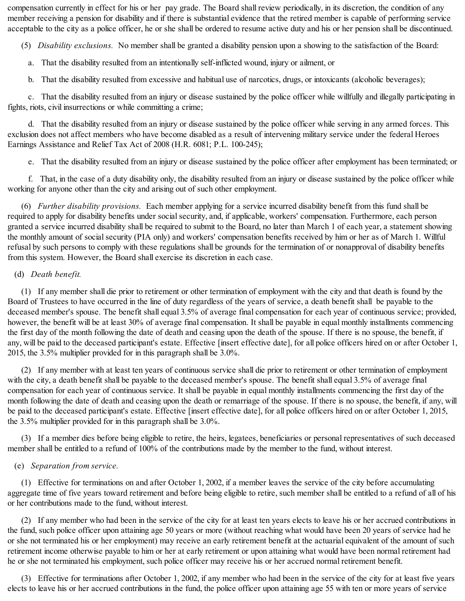compensation currently in effect for his or her pay grade. The Board shall review periodically, in its discretion, the condition of any member receiving a pension for disability and if there is substantial evidence that the retired member is capable of performing service acceptable to the city as a police officer, he or she shall be ordered to resume active duty and his or her pension shall be discontinued.

(5) *Disability exclusions.* No member shall be granted a disability pension upon a showing to the satisfaction of the Board:

a. That the disability resulted from an intentionally self-inflicted wound, injury or ailment, or

b. That the disability resulted from excessive and habitual use of narcotics, drugs, or intoxicants (alcoholic beverages);

c. That the disability resulted from an injury or disease sustained by the police officer while willfully and illegally participating in fights, riots, civil insurrections or while committing a crime;

d. That the disability resulted from an injury or disease sustained by the police officer while serving in any armed forces. This exclusion does not affect members who have become disabled as a result of intervening military service under the federal Heroes Earnings Assistance and Relief Tax Act of 2008 (H.R. 6081; P.L. 100-245);

e. That the disability resulted from an injury or disease sustained by the police officer after employment has been terminated; or

f. That, in the case of a duty disability only, the disability resulted from an injury or disease sustained by the police officer while working for anyone other than the city and arising out of such other employment.

(6) *Further disability provisions.* Each member applying for a service incurred disability benefit from this fund shall be required to apply for disability benefits under socialsecurity, and, if applicable, workers' compensation. Furthermore, each person granted a service incurred disability shall be required to submit to the Board, no later than March 1 of each year, a statement showing the monthly amount of socialsecurity (PIA only) and workers' compensation benefits received by him or her as of March 1. Willful refusal by such persons to comply with these regulations shall be grounds for the termination of or nonapproval of disability benefits from this system. However, the Board shall exercise its discretion in each case.

## (d) *Death benefit.*

(1) If any member shall die prior to retirement or other termination of employment with the city and that death is found by the Board of Trustees to have occurred in the line of duty regardless of the years of service, a death benefit shall be payable to the deceased member's spouse. The benefit shall equal 3.5% of average final compensation for each year of continuous service; provided, however, the benefit will be at least 30% of average final compensation. It shall be payable in equal monthly installments commencing the first day of the month following the date of death and ceasing upon the death of the spouse. If there is no spouse, the benefit, if any, will be paid to the deceased participant's estate. Effective [insert effective date], for all police officers hired on or after October 1, 2015, the 3.5% multiplier provided for in this paragraph shall be 3.0%.

(2) If any member with at least ten years of continuous service shall die prior to retirement or other termination of employment with the city, a death benefit shall be payable to the deceased member's spouse. The benefit shall equal 3.5% of average final compensation for each year of continuous service. It shall be payable in equal monthly installments commencing the first day of the month following the date of death and ceasing upon the death or remarriage of the spouse. If there is no spouse, the benefit, if any, will be paid to the deceased participant's estate. Effective [insert effective date], for all police officers hired on or after October 1, 2015, the 3.5% multiplier provided for in this paragraph shall be 3.0%.

(3) If a member dies before being eligible to retire, the heirs, legatees, beneficiaries or personal representatives of such deceased member shall be entitled to a refund of 100% of the contributions made by the member to the fund, without interest.

## (e) *Separation from service.*

(1) Effective for terminations on and after October 1, 2002, if a member leaves the service of the city before accumulating aggregate time of five years toward retirement and before being eligible to retire, such member shall be entitled to a refund of all of his or her contributions made to the fund, without interest.

(2) If any member who had been in the service of the city for at least ten years elects to leave his or her accrued contributions in the fund, such police officer upon attaining age 50 years or more (without reaching what would have been 20 years of service had he or she not terminated his or her employment) may receive an early retirement benefit at the actuarial equivalent of the amount of such retirement income otherwise payable to him or her at early retirement or upon attaining what would have been normal retirement had he or she not terminated his employment, such police officer may receive his or her accrued normal retirement benefit.

(3) Effective for terminations after October 1, 2002, if any member who had been in the service of the city for at least five years elects to leave his or her accrued contributions in the fund, the police officer upon attaining age 55 with ten or more years of service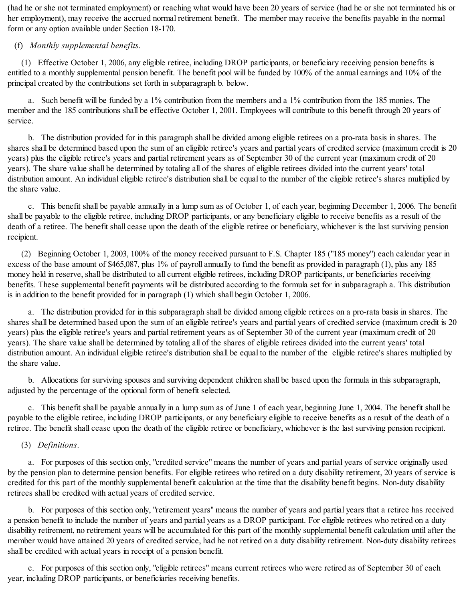(had he or she not terminated employment) or reaching what would have been 20 years of service (had he or she not terminated his or her employment), may receive the accrued normal retirement benefit. The member may receive the benefits payable in the normal form or any option available under Section 18-170.

## (f) *Monthly supplemental benefits.*

(1) Effective October 1, 2006, any eligible retiree, including DROP participants, or beneficiary receiving pension benefits is entitled to a monthly supplemental pension benefit. The benefit pool will be funded by 100% of the annual earnings and 10% of the principal created by the contributions set forth in subparagraph b. below.

a. Such benefit will be funded by a 1% contribution from the members and a 1% contribution from the 185 monies. The member and the 185 contributions shall be effective October 1, 2001. Employees will contribute to this benefit through 20 years of service.

b. The distribution provided for in this paragraph shall be divided among eligible retirees on a pro-rata basis in shares. The shares shall be determined based upon the sum of an eligible retiree's years and partial years of credited service (maximum credit is 20 years) plus the eligible retiree's years and partial retirement years as of September 30 of the current year (maximum credit of 20 years). The share value shall be determined by totaling all of the shares of eligible retirees divided into the current years' total distribution amount. An individual eligible retiree's distribution shall be equal to the number of the eligible retiree's shares multiplied by the share value.

c. This benefit shall be payable annually in a lump sum as of October 1, of each year, beginning December 1, 2006. The benefit shall be payable to the eligible retiree, including DROP participants, or any beneficiary eligible to receive benefits as a result of the death of a retiree. The benefit shall cease upon the death of the eligible retiree or beneficiary, whichever is the last surviving pension recipient.

(2) Beginning October 1, 2003, 100% of the money received pursuant to F.S. Chapter 185 ("185 money") each calendar year in excess of the base amount of \$465,087, plus 1% of payroll annually to fund the benefit as provided in paragraph (1), plus any 185 money held in reserve, shall be distributed to all current eligible retirees, including DROP participants, or beneficiaries receiving benefits. These supplemental benefit payments will be distributed according to the formula set for in subparagraph a. This distribution is in addition to the benefit provided for in paragraph (1) which shall begin October 1, 2006.

a. The distribution provided for in this subparagraph shall be divided among eligible retirees on a pro-rata basis in shares. The shares shall be determined based upon the sum of an eligible retiree's years and partial years of credited service (maximum credit is 20 years) plus the eligible retiree's years and partial retirement years as of September 30 of the current year (maximum credit of 20 years). The share value shall be determined by totaling all of the shares of eligible retirees divided into the current years' total distribution amount. An individual eligible retiree's distribution shall be equal to the number of the eligible retiree's shares multiplied by the share value.

b. Allocations for surviving spouses and surviving dependent children shall be based upon the formula in this subparagraph, adjusted by the percentage of the optional form of benefit selected.

c. This benefit shall be payable annually in a lump sum as of June 1 of each year, beginning June 1, 2004. The benefit shall be payable to the eligible retiree, including DROP participants, or any beneficiary eligible to receive benefits as a result of the death of a retiree. The benefit shall cease upon the death of the eligible retiree or beneficiary, whichever is the last surviving pension recipient.

#### (3) *Definitions*.

a. For purposes of this section only, "credited service" means the number of years and partial years of service originally used by the pension plan to determine pension benefits. For eligible retirees who retired on a duty disability retirement, 20 years of service is credited for this part of the monthly supplemental benefit calculation at the time that the disability benefit begins. Non-duty disability retirees shall be credited with actual years of credited service.

b. For purposes of this section only, "retirement years" means the number of years and partial years that a retiree has received a pension benefit to include the number of years and partial years as a DROP participant. For eligible retirees who retired on a duty disability retirement, no retirement years will be accumulated for this part of the monthly supplemental benefit calculation until after the member would have attained 20 years of credited service, had he not retired on a duty disability retirement. Non-duty disability retirees shall be credited with actual years in receipt of a pension benefit.

c. For purposes of this section only, "eligible retirees" means current retirees who were retired as of September 30 of each year, including DROP participants, or beneficiaries receiving benefits.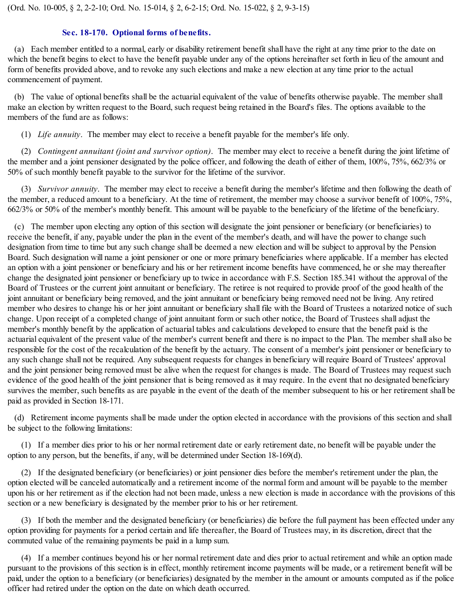#### **Sec. 18-170. Optional forms of benefits.**

(a) Each member entitled to a normal, early or disability retirement benefit shall have the right at any time prior to the date on which the benefit begins to elect to have the benefit payable under any of the options hereinafter set forth in lieu of the amount and form of benefits provided above, and to revoke any such elections and make a new election at any time prior to the actual commencement of payment.

(b) The value of optional benefits shall be the actuarial equivalent of the value of benefits otherwise payable. The member shall make an election by written request to the Board, such request being retained in the Board's files. The options available to the members of the fund are as follows:

(1) *Life annuity*. The member may elect to receive a benefit payable for the member's life only.

(2) *Contingent annuitant (joint and survivor option)*. The member may elect to receive a benefit during the joint lifetime of the member and a joint pensioner designated by the police officer, and following the death of either of them, 100%, 75%, 662/3% or 50% of such monthly benefit payable to the survivor for the lifetime of the survivor.

(3) *Survivor annuity*. The member may elect to receive a benefit during the member's lifetime and then following the death of the member, a reduced amount to a beneficiary. At the time of retirement, the member may choose a survivor benefit of 100%, 75%, 662/3% or 50% of the member's monthly benefit. This amount will be payable to the beneficiary of the lifetime of the beneficiary.

(c) The member upon electing any option of this section will designate the joint pensioner or beneficiary (or beneficiaries) to receive the benefit, if any, payable under the plan in the event of the member's death, and will have the power to change such designation from time to time but any such change shall be deemed a new election and will be subject to approval by the Pension Board. Such designation will name a joint pensioner or one or more primary beneficiaries where applicable. If a member has elected an option with a joint pensioner or beneficiary and his or her retirement income benefits have commenced, he or she may thereafter change the designated joint pensioner or beneficiary up to twice in accordance with F.S. Section 185.341 without the approval of the Board of Trustees or the current joint annuitant or beneficiary. The retiree is not required to provide proof of the good health of the joint annuitant or beneficiary being removed, and the joint annuitant or beneficiary being removed need not be living. Any retired member who desires to change his or her joint annuitant or beneficiary shall file with the Board of Trustees a notarized notice of such change. Upon receipt of a completed change of joint annuitant form or such other notice, the Board of Trustees shall adjust the member's monthly benefit by the application of actuarial tables and calculations developed to ensure that the benefit paid is the actuarial equivalent of the present value of the member's current benefit and there is no impact to the Plan. The member shall also be responsible for the cost of the recalculation of the benefit by the actuary. The consent of a member's joint pensioner or beneficiary to any such change shall not be required. Any subsequent requests for changes in beneficiary will require Board of Trustees' approval and the joint pensioner being removed must be alive when the request for changes is made. The Board of Trustees may request such evidence of the good health of the joint pensioner that is being removed as it may require. In the event that no designated beneficiary survives the member, such benefits as are payable in the event of the death of the member subsequent to his or her retirement shall be paid as provided in Section 18-171.

(d) Retirement income payments shall be made under the option elected in accordance with the provisions of this section and shall be subject to the following limitations:

(1) If a member dies prior to his or her normal retirement date or early retirement date, no benefit will be payable under the option to any person, but the benefits, if any, will be determined under Section 18-169(d).

(2) If the designated beneficiary (or beneficiaries) or joint pensioner dies before the member's retirement under the plan, the option elected will be canceled automatically and a retirement income of the normal form and amount will be payable to the member upon his or her retirement as if the election had not been made, unless a new election is made in accordance with the provisions of this section or a new beneficiary is designated by the member prior to his or her retirement.

(3) If both the member and the designated beneficiary (or beneficiaries) die before the full payment has been effected under any option providing for payments for a period certain and life thereafter, the Board of Trustees may, in its discretion, direct that the commuted value of the remaining payments be paid in a lump sum.

(4) If a member continues beyond his or her normal retirement date and dies prior to actual retirement and while an option made pursuant to the provisions of this section is in effect, monthly retirement income payments will be made, or a retirement benefit will be paid, under the option to a beneficiary (or beneficiaries) designated by the member in the amount or amounts computed as if the police officer had retired under the option on the date on which death occurred.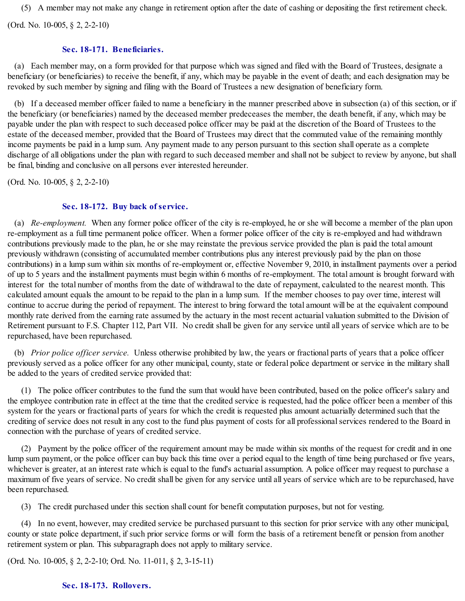(5) A member may not make any change in retirement option after the date of cashing or depositing the first retirement check.

(Ord. No. 10-005, § 2, 2-2-10)

### **Sec. 18-171. Beneficiaries.**

(a) Each member may, on a form provided for that purpose which was signed and filed with the Board of Trustees, designate a beneficiary (or beneficiaries) to receive the benefit, if any, which may be payable in the event of death; and each designation may be revoked by such member by signing and filing with the Board of Trustees a new designation of beneficiary form.

(b) If a deceased member officer failed to name a beneficiary in the manner prescribed above in subsection (a) of this section, or if the beneficiary (or beneficiaries) named by the deceased member predeceases the member, the death benefit, if any, which may be payable under the plan with respect to such deceased police officer may be paid at the discretion of the Board of Trustees to the estate of the deceased member, provided that the Board of Trustees may direct that the commuted value of the remaining monthly income payments be paid in a lump sum. Any payment made to any person pursuant to this section shall operate as a complete discharge of all obligations under the plan with regard to such deceased member and shall not be subject to review by anyone, but shall be final, binding and conclusive on all persons ever interested hereunder.

(Ord. No. 10-005, § 2, 2-2-10)

## **Sec. 18-172. Buy back of service.**

(a) *Re-employment.* When any former police officer of the city is re-employed, he or she will become a member of the plan upon re-employment as a full time permanent police officer. When a former police officer of the city is re-employed and had withdrawn contributions previously made to the plan, he or she may reinstate the previous service provided the plan is paid the total amount previously withdrawn (consisting of accumulated member contributions plus any interest previously paid by the plan on those contributions) in a lump sum within six months of re-employment or, effective November 9, 2010, in installment payments over a period of up to 5 years and the installment payments must begin within 6 months of re-employment. The total amount is brought forward with interest for the total number of months from the date of withdrawal to the date of repayment, calculated to the nearest month. This calculated amount equals the amount to be repaid to the plan in a lump sum. If the member chooses to pay over time, interest will continue to accrue during the period of repayment. The interest to bring forward the total amount will be at the equivalent compound monthly rate derived from the earning rate assumed by the actuary in the most recent actuarial valuation submitted to the Division of Retirement pursuant to F.S. Chapter 112, Part VII. No credit shall be given for any service until all years of service which are to be repurchased, have been repurchased.

(b) *Prior police officer service.* Unless otherwise prohibited by law, the years or fractional parts of years that a police officer previously served as a police officer for any other municipal, county, state or federal police department or service in the military shall be added to the years of credited service provided that:

(1) The police officer contributes to the fund the sum that would have been contributed, based on the police officer's salary and the employee contribution rate in effect at the time that the credited service is requested, had the police officer been a member of this system for the years or fractional parts of years for which the credit is requested plus amount actuarially determined such that the crediting of service does not result in any cost to the fund plus payment of costs for all professionalservices rendered to the Board in connection with the purchase of years of credited service.

(2) Payment by the police officer of the requirement amount may be made within six months of the request for credit and in one lump sum payment, or the police officer can buy back this time over a period equal to the length of time being purchased or five years, whichever is greater, at an interest rate which is equal to the fund's actuarial assumption. A police officer may request to purchase a maximum of five years of service. No credit shall be given for any service until all years of service which are to be repurchased, have been repurchased.

(3) The credit purchased under this section shall count for benefit computation purposes, but not for vesting.

(4) In no event, however, may credited service be purchased pursuant to this section for prior service with any other municipal, county or state police department, if such prior service forms or will form the basis of a retirement benefit or pension from another retirement system or plan. This subparagraph does not apply to military service.

(Ord. No. 10-005, § 2, 2-2-10; Ord. No. 11-011, § 2, 3-15-11)

#### **Sec. 18-173. Rollovers.**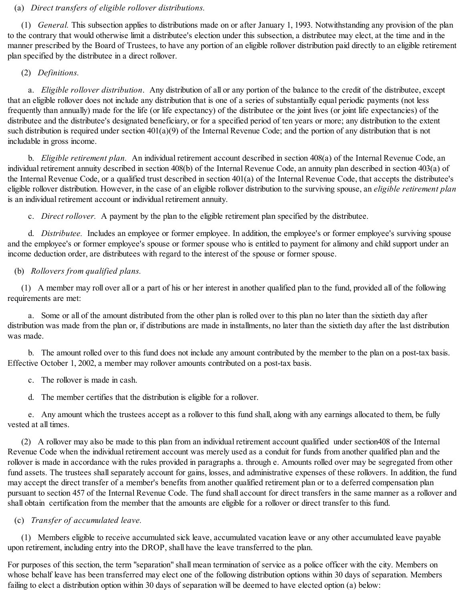## (a) *Direct transfers of eligible rollover distributions.*

(1) *General.* This subsection applies to distributions made on or after January 1, 1993. Notwithstanding any provision of the plan to the contrary that would otherwise limit a distributee's election under this subsection, a distributee may elect, at the time and in the manner prescribed by the Board of Trustees, to have any portion of an eligible rollover distribution paid directly to an eligible retirement plan specified by the distributee in a direct rollover.

## (2) *Definitions.*

a. *Eligible rollover distribution*. Any distribution of all or any portion of the balance to the credit of the distributee, except that an eligible rollover does not include any distribution that is one of a series of substantially equal periodic payments (not less frequently than annually) made for the life (or life expectancy) of the distributee or the joint lives (or joint life expectancies) of the distributee and the distributee's designated beneficiary, or for a specified period of ten years or more; any distribution to the extent such distribution is required under section 401(a)(9) of the Internal Revenue Code; and the portion of any distribution that is not includable in gross income.

b. *Eligible retirement plan.* An individual retirement account described in section 408(a) of the Internal Revenue Code, an individual retirement annuity described in section 408(b) of the Internal Revenue Code, an annuity plan described in section 403(a) of the Internal Revenue Code, or a qualified trust described in section 401(a) of the Internal Revenue Code, that accepts the distributee's eligible rollover distribution. However, in the case of an eligible rollover distribution to the surviving spouse, an *eligible retirement plan* is an individual retirement account or individual retirement annuity.

c. *Direct rollover.* A payment by the plan to the eligible retirement plan specified by the distributee.

d. *Distributee.* Includes an employee or former employee. In addition, the employee's or former employee's surviving spouse and the employee's or former employee's spouse or former spouse who is entitled to payment for alimony and child support under an income deduction order, are distributees with regard to the interest of the spouse or former spouse.

## (b) *Rollovers from qualified plans.*

(1) A member may roll over all or a part of his or her interest in another qualified plan to the fund, provided all of the following requirements are met:

a. Some or all of the amount distributed from the other plan is rolled over to this plan no later than the sixtieth day after distribution was made from the plan or, if distributions are made in installments, no later than the sixtieth day after the last distribution was made.

b. The amount rolled over to this fund does not include any amount contributed by the member to the plan on a post-tax basis. Effective October 1, 2002, a member may rollover amounts contributed on a post-tax basis.

- c. The rollover is made in cash.
- d. The member certifies that the distribution is eligible for a rollover.

e. Any amount which the trustees accept as a rollover to this fund shall, along with any earnings allocated to them, be fully vested at all times.

(2) A rollover may also be made to this plan from an individual retirement account qualified under section408 of the Internal Revenue Code when the individual retirement account was merely used as a conduit for funds from another qualified plan and the rollover is made in accordance with the rules provided in paragraphs a. through e. Amounts rolled over may be segregated from other fund assets. The trustees shall separately account for gains, losses, and administrative expenses of these rollovers. In addition, the fund may accept the direct transfer of a member's benefits from another qualified retirement plan or to a deferred compensation plan pursuant to section 457 of the Internal Revenue Code. The fund shall account for direct transfers in the same manner as a rollover and shall obtain certification from the member that the amounts are eligible for a rollover or direct transfer to this fund.

#### (c) *Transfer of accumulated leave.*

(1) Members eligible to receive accumulated sick leave, accumulated vacation leave or any other accumulated leave payable upon retirement, including entry into the DROP, shall have the leave transferred to the plan.

For purposes of this section, the term "separation" shall mean termination of service as a police officer with the city. Members on whose behalf leave has been transferred may elect one of the following distribution options within 30 days of separation. Members failing to elect a distribution option within 30 days of separation will be deemed to have elected option (a) below: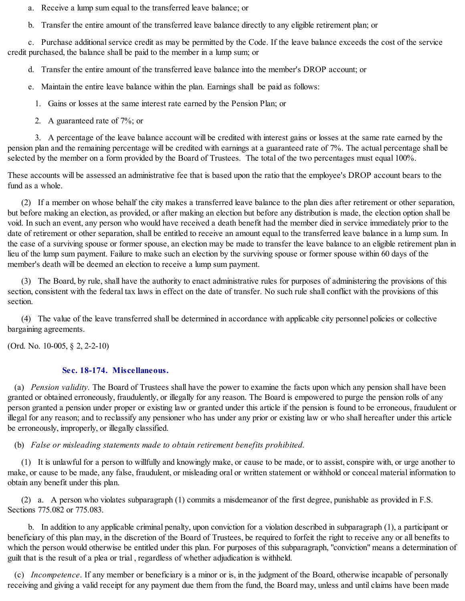a. Receive a lump sum equal to the transferred leave balance; or

b. Transfer the entire amount of the transferred leave balance directly to any eligible retirement plan; or

c. Purchase additional service credit as may be permitted by the Code. If the leave balance exceeds the cost of the service credit purchased, the balance shall be paid to the member in a lump sum; or

d. Transfer the entire amount of the transferred leave balance into the member's DROP account; or

- e. Maintain the entire leave balance within the plan. Earnings shall be paid as follows:
	- 1. Gains or losses at the same interest rate earned by the Pension Plan; or
	- 2. A guaranteed rate of 7%; or

3. A percentage of the leave balance account will be credited with interest gains or losses at the same rate earned by the pension plan and the remaining percentage will be credited with earnings at a guaranteed rate of 7%. The actual percentage shall be selected by the member on a form provided by the Board of Trustees. The total of the two percentages must equal 100%.

These accounts will be assessed an administrative fee that is based upon the ratio that the employee's DROP account bears to the fund as a whole.

(2) If a member on whose behalf the city makes a transferred leave balance to the plan dies after retirement or other separation, but before making an election, as provided, or after making an election but before any distribution is made, the election option shall be void. In such an event, any person who would have received a death benefit had the member died in service immediately prior to the date of retirement or other separation, shall be entitled to receive an amount equal to the transferred leave balance in a lump sum. In the case of a surviving spouse or former spouse, an election may be made to transfer the leave balance to an eligible retirement plan in lieu of the lump sum payment. Failure to make such an election by the surviving spouse or former spouse within 60 days of the member's death will be deemed an election to receive a lump sum payment.

(3) The Board, by rule, shall have the authority to enact administrative rules for purposes of administering the provisions of this section, consistent with the federal tax laws in effect on the date of transfer. No such rule shall conflict with the provisions of this section.

(4) The value of the leave transferred shall be determined in accordance with applicable city personnel policies or collective bargaining agreements.

(Ord. No. 10-005, § 2, 2-2-10)

#### **Sec. 18-174. Miscellaneous.**

(a) *Pension validity.* The Board of Trustees shall have the power to examine the facts upon which any pension shall have been granted or obtained erroneously, fraudulently, or illegally for any reason. The Board is empowered to purge the pension rolls of any person granted a pension under proper or existing law or granted under this article if the pension is found to be erroneous, fraudulent or illegal for any reason; and to reclassify any pensioner who has under any prior or existing law or who shall hereafter under this article be erroneously, improperly, or illegally classified.

#### (b) *False or misleading statements made to obtain retirement benefits prohibited.*

(1) It is unlawful for a person to willfully and knowingly make, or cause to be made, or to assist, conspire with, or urge another to make, or cause to be made, any false, fraudulent, or misleading oral or written statement or withhold or conceal material information to obtain any benefit under this plan.

(2) a. A person who violates subparagraph (1) commits a misdemeanor of the first degree, punishable as provided in F.S. Sections 775.082 or 775.083.

b. In addition to any applicable criminal penalty, upon conviction for a violation described in subparagraph (1), a participant or beneficiary of this plan may, in the discretion of the Board of Trustees, be required to forfeit the right to receive any or all benefits to which the person would otherwise be entitled under this plan. For purposes of this subparagraph, "conviction" means a determination of guilt that is the result of a plea or trial , regardless of whether adjudication is withheld.

(c) *Incompetence*. If any member or beneficiary is a minor or is, in the judgment of the Board, otherwise incapable of personally receiving and giving a valid receipt for any payment due them from the fund, the Board may, unless and until claims have been made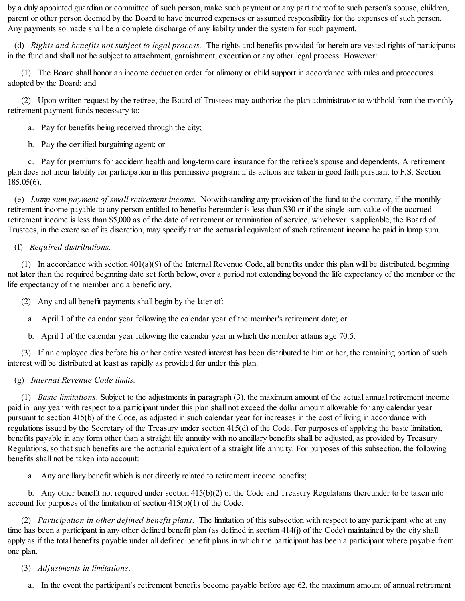by a duly appointed guardian or committee of such person, make such payment or any part thereof to such person's spouse, children, parent or other person deemed by the Board to have incurred expenses or assumed responsibility for the expenses of such person. Any payments so made shall be a complete discharge of any liability under the system for such payment.

(d) *Rights and benefits not subject to legal process.* The rights and benefits provided for herein are vested rights of participants in the fund and shall not be subject to attachment, garnishment, execution or any other legal process. However:

(1) The Board shall honor an income deduction order for alimony or child support in accordance with rules and procedures adopted by the Board; and

(2) Upon written request by the retiree, the Board of Trustees may authorize the plan administrator to withhold from the monthly retirement payment funds necessary to:

- a. Pay for benefits being received through the city;
- b. Pay the certified bargaining agent; or

c. Pay for premiums for accident health and long-term care insurance for the retiree's spouse and dependents. A retirement plan does not incur liability for participation in this permissive program if its actions are taken in good faith pursuant to F.S. Section 185.05(6).

(e) *Lump sum payment of small retirement income*. Notwithstanding any provision of the fund to the contrary, if the monthly retirement income payable to any person entitled to benefits hereunder is less than \$30 or if the single sum value of the accrued retirement income is less than \$5,000 as of the date of retirement or termination of service, whichever is applicable, the Board of Trustees, in the exercise of its discretion, may specify that the actuarial equivalent of such retirement income be paid in lump sum.

## (f) *Required distributions.*

(1) In accordance with section  $401(a)(9)$  of the Internal Revenue Code, all benefits under this plan will be distributed, beginning not later than the required beginning date set forth below, over a period not extending beyond the life expectancy of the member or the life expectancy of the member and a beneficiary.

(2) Any and all benefit payments shall begin by the later of:

- a. April 1 of the calendar year following the calendar year of the member's retirement date; or
- b. April 1 of the calendar year following the calendar year in which the member attains age 70.5.

(3) If an employee dies before his or her entire vested interest has been distributed to him or her, the remaining portion of such interest will be distributed at least as rapidly as provided for under this plan.

## (g) *Internal Revenue Code limits.*

(1) *Basic limitations*. Subject to the adjustments in paragraph (3), the maximum amount of the actual annual retirement income paid in any year with respect to a participant under this plan shall not exceed the dollar amount allowable for any calendar year pursuant to section 415(b) of the Code, as adjusted in such calendar year for increases in the cost of living in accordance with regulations issued by the Secretary of the Treasury under section 415(d) of the Code. For purposes of applying the basic limitation, benefits payable in any form other than a straight life annuity with no ancillary benefits shall be adjusted, as provided by Treasury Regulations, so that such benefits are the actuarial equivalent of a straight life annuity. For purposes of this subsection, the following benefits shall not be taken into account:

a. Any ancillary benefit which is not directly related to retirement income benefits;

b. Any other benefit not required under section 415(b)(2) of the Code and Treasury Regulations thereunder to be taken into account for purposes of the limitation of section 415(b)(1) of the Code.

(2) *Participation in other defined benefit plans*. The limitation of this subsection with respect to any participant who at any time has been a participant in any other defined benefit plan (as defined in section 414(j) of the Code) maintained by the city shall apply as if the total benefits payable under all defined benefit plans in which the participant has been a participant where payable from one plan.

## (3) *Adjustments in limitations*.

a. In the event the participant's retirement benefits become payable before age 62, the maximum amount of annual retirement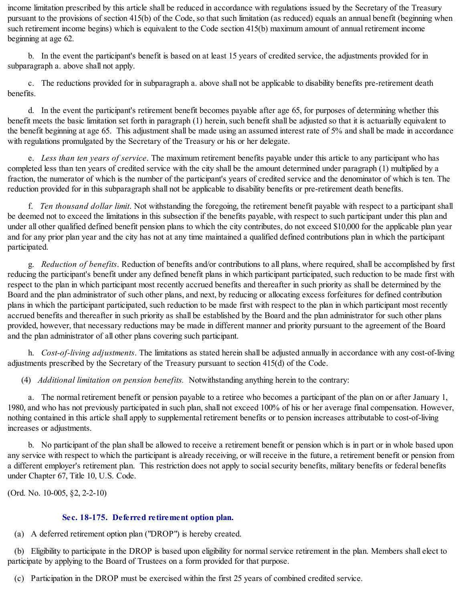income limitation prescribed by this article shall be reduced in accordance with regulations issued by the Secretary of the Treasury pursuant to the provisions of section 415(b) of the Code, so that such limitation (as reduced) equals an annual benefit (beginning when such retirement income begins) which is equivalent to the Code section 415(b) maximum amount of annual retirement income beginning at age 62.

b. In the event the participant's benefit is based on at least 15 years of credited service, the adjustments provided for in subparagraph a. above shall not apply.

c. The reductions provided for in subparagraph a. above shall not be applicable to disability benefits pre-retirement death benefits.

d. In the event the participant's retirement benefit becomes payable after age 65, for purposes of determining whether this benefit meets the basic limitation set forth in paragraph (1) herein, such benefit shall be adjusted so that it is actuarially equivalent to the benefit beginning at age 65. This adjustment shall be made using an assumed interest rate of 5% and shall be made in accordance with regulations promulgated by the Secretary of the Treasury or his or her delegate.

e. *Less than ten years of service*. The maximum retirement benefits payable under this article to any participant who has completed less than ten years of credited service with the city shall be the amount determined under paragraph (1) multiplied by a fraction, the numerator of which is the number of the participant's years of credited service and the denominator of which is ten. The reduction provided for in this subparagraph shall not be applicable to disability benefits or pre-retirement death benefits.

f. *Ten thousand dollar limit*. Not withstanding the foregoing, the retirement benefit payable with respect to a participant shall be deemed not to exceed the limitations in this subsection if the benefits payable, with respect to such participant under this plan and under all other qualified defined benefit pension plans to which the city contributes, do not exceed \$10,000 for the applicable plan year and for any prior plan year and the city has not at any time maintained a qualified defined contributions plan in which the participant participated.

g. *Reduction of benefits*. Reduction of benefits and/or contributions to all plans, where required, shall be accomplished by first reducing the participant's benefit under any defined benefit plans in which participant participated, such reduction to be made first with respect to the plan in which participant most recently accrued benefits and thereafter in such priority as shall be determined by the Board and the plan administrator of such other plans, and next, by reducing or allocating excess forfeitures for defined contribution plans in which the participant participated, such reduction to be made first with respect to the plan in which participant most recently accrued benefits and thereafter in such priority as shall be established by the Board and the plan administrator for such other plans provided, however, that necessary reductions may be made in different manner and priority pursuant to the agreement of the Board and the plan administrator of all other plans covering such participant.

h. *Cost-of-living adjustments*. The limitations as stated herein shall be adjusted annually in accordance with any cost-of-living adjustments prescribed by the Secretary of the Treasury pursuant to section 415(d) of the Code.

(4) *Additional limitation on pension benefits.* Notwithstanding anything herein to the contrary:

a. The normal retirement benefit or pension payable to a retiree who becomes a participant of the plan on or after January 1, 1980, and who has not previously participated in such plan, shall not exceed 100% of his or her average final compensation. However, nothing contained in this article shall apply to supplemental retirement benefits or to pension increases attributable to cost-of-living increases or adjustments.

b. No participant of the plan shall be allowed to receive a retirement benefit or pension which is in part or in whole based upon any service with respect to which the participant is already receiving, or will receive in the future, a retirement benefit or pension from a different employer's retirement plan. This restriction does not apply to socialsecurity benefits, military benefits or federal benefits under Chapter 67, Title 10, U.S. Code.

(Ord. No. 10-005, §2, 2-2-10)

# **Sec. 18-175. Deferred retirement option plan.**

(a) A deferred retirement option plan ("DROP") is hereby created.

(b) Eligibility to participate in the DROP is based upon eligibility for normalservice retirement in the plan. Members shall elect to participate by applying to the Board of Trustees on a form provided for that purpose.

(c) Participation in the DROP must be exercised within the first 25 years of combined credited service.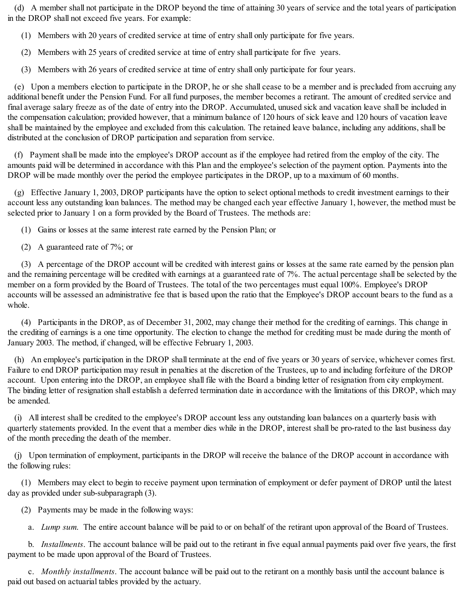(d) A member shall not participate in the DROP beyond the time of attaining 30 years of service and the total years of participation in the DROP shall not exceed five years. For example:

- (1) Members with 20 years of credited service at time of entry shall only participate for five years.
- (2) Members with 25 years of credited service at time of entry shall participate for five years.
- (3) Members with 26 years of credited service at time of entry shall only participate for four years.

(e) Upon a members election to participate in the DROP, he or she shall cease to be a member and is precluded from accruing any additional benefit under the Pension Fund. For all fund purposes, the member becomes a retirant. The amount of credited service and final average salary freeze as of the date of entry into the DROP. Accumulated, unused sick and vacation leave shall be included in the compensation calculation; provided however, that a minimum balance of 120 hours of sick leave and 120 hours of vacation leave shall be maintained by the employee and excluded from this calculation. The retained leave balance, including any additions, shall be distributed at the conclusion of DROP participation and separation from service.

(f) Payment shall be made into the employee's DROP account as if the employee had retired from the employ of the city. The amounts paid will be determined in accordance with this Plan and the employee's selection of the payment option. Payments into the DROP will be made monthly over the period the employee participates in the DROP, up to a maximum of 60 months.

(g) Effective January 1, 2003, DROP participants have the option to select optional methods to credit investment earnings to their account less any outstanding loan balances. The method may be changed each year effective January 1, however, the method must be selected prior to January 1 on a form provided by the Board of Trustees. The methods are:

- (1) Gains or losses at the same interest rate earned by the Pension Plan; or
- (2) A guaranteed rate of 7%; or

(3) A percentage of the DROP account will be credited with interest gains or losses at the same rate earned by the pension plan and the remaining percentage will be credited with earnings at a guaranteed rate of 7%. The actual percentage shall be selected by the member on a form provided by the Board of Trustees. The total of the two percentages must equal 100%. Employee's DROP accounts will be assessed an administrative fee that is based upon the ratio that the Employee's DROP account bears to the fund as a whole.

(4) Participants in the DROP, as of December 31, 2002, may change their method for the crediting of earnings. This change in the crediting of earnings is a one time opportunity. The election to change the method for crediting must be made during the month of January 2003. The method, if changed, will be effective February 1, 2003.

(h) An employee's participation in the DROP shall terminate at the end of five years or 30 years of service, whichever comes first. Failure to end DROP participation may result in penalties at the discretion of the Trustees, up to and including forfeiture of the DROP account. Upon entering into the DROP, an employee shall file with the Board a binding letter of resignation from city employment. The binding letter of resignation shall establish a deferred termination date in accordance with the limitations of this DROP, which may be amended.

(i) All interest shall be credited to the employee's DROP account less any outstanding loan balances on a quarterly basis with quarterly statements provided. In the event that a member dies while in the DROP, interest shall be pro-rated to the last business day of the month preceding the death of the member.

(j) Upon termination of employment, participants in the DROP will receive the balance of the DROP account in accordance with the following rules:

(1) Members may elect to begin to receive payment upon termination of employment or defer payment of DROP until the latest day as provided under sub-subparagraph (3).

(2) Payments may be made in the following ways:

a. *Lump sum*. The entire account balance will be paid to or on behalf of the retirant upon approval of the Board of Trustees.

b. *Installments*. The account balance will be paid out to the retirant in five equal annual payments paid over five years, the first payment to be made upon approval of the Board of Trustees.

c. *Monthly installments*. The account balance will be paid out to the retirant on a monthly basis until the account balance is paid out based on actuarial tables provided by the actuary.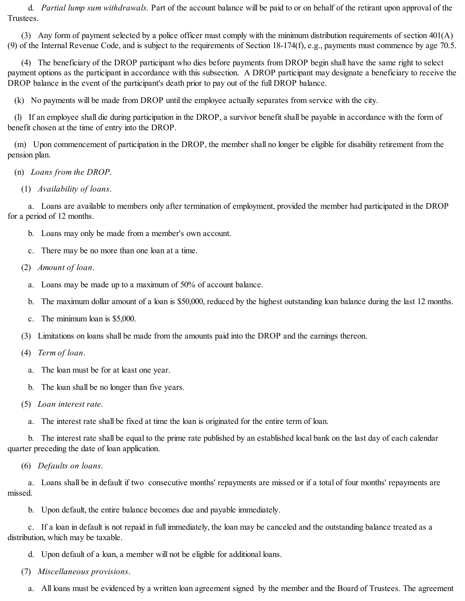d. *Partial lump sum withdrawals.* Part of the account balance will be paid to or on behalf of the retirant upon approval of the Trustees.

(3) Any form of payment selected by a police officer must comply with the minimum distribution requirements of section 401(A) (9) of the Internal Revenue Code, and is subject to the requirements of Section 18-174(f), e.g., payments must commence by age 70.5.

(4) The beneficiary of the DROP participant who dies before payments from DROP begin shall have the same right to select payment options as the participant in accordance with this subsection. A DROP participant may designate a beneficiary to receive the DROP balance in the event of the participant's death prior to pay out of the full DROP balance.

(k) No payments will be made from DROP until the employee actually separates from service with the city.

(l) If an employee shall die during participation in the DROP, a survivor benefit shall be payable in accordance with the form of benefit chosen at the time of entry into the DROP.

(m) Upon commencement of participation in the DROP, the member shall no longer be eligible for disability retirement from the pension plan.

- (n) *Loans from the DROP*.
	- (1) *Availability of loans*.

a. Loans are available to members only after termination of employment, provided the member had participated in the DROP for a period of 12 months.

- b. Loans may only be made from a member's own account.
- c. There may be no more than one loan at a time.
- (2) *Amount of loan*.
	- a. Loans may be made up to a maximum of 50% of account balance.
	- b. The maximum dollar amount of a loan is \$50,000, reduced by the highest outstanding loan balance during the last 12 months.
	- c. The minimum loan is \$5,000.
- (3) Limitations on loans shall be made from the amounts paid into the DROP and the earnings thereon.
- (4) *Term of loan*.
	- a. The loan must be for at least one year.
	- b. The loan shall be no longer than five years.
- (5) *Loan interest rate*.
	- a. The interest rate shall be fixed at time the loan is originated for the entire term of loan.

b. The interest rate shall be equal to the prime rate published by an established local bank on the last day of each calendar quarter preceding the date of loan application.

(6) *Defaults on loans*.

a. Loans shall be in default if two consecutive months' repayments are missed or if a total of four months' repayments are missed.

b. Upon default, the entire balance becomes due and payable immediately.

c. If a loan in default is not repaid in full immediately, the loan may be canceled and the outstanding balance treated as a distribution, which may be taxable.

- d. Upon default of a loan, a member will not be eligible for additional loans.
- (7) *Miscellaneous provisions*.
	- a. All loans must be evidenced by a written loan agreement signed by the member and the Board of Trustees. The agreement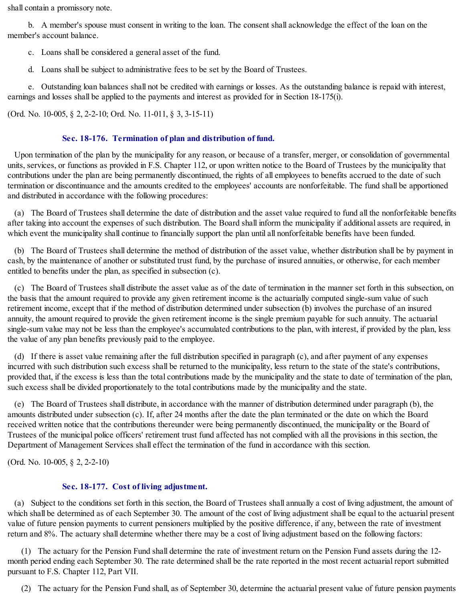shall contain a promissory note.

b. A member's spouse must consent in writing to the loan. The consent shall acknowledge the effect of the loan on the member's account balance.

- c. Loans shall be considered a general asset of the fund.
- d. Loans shall be subject to administrative fees to be set by the Board of Trustees.

e. Outstanding loan balances shall not be credited with earnings or losses. As the outstanding balance is repaid with interest, earnings and losses shall be applied to the payments and interest as provided for in Section 18-175(i).

(Ord. No. 10-005, § 2, 2-2-10; Ord. No. 11-011, § 3, 3-15-11)

## **Sec. 18-176. Termination of plan and distribution of fund.**

Upon termination of the plan by the municipality for any reason, or because of a transfer, merger, or consolidation of governmental units, services, or functions as provided in F.S. Chapter 112, or upon written notice to the Board of Trustees by the municipality that contributions under the plan are being permanently discontinued, the rights of all employees to benefits accrued to the date of such termination or discontinuance and the amounts credited to the employees' accounts are nonforfeitable. The fund shall be apportioned and distributed in accordance with the following procedures:

(a) The Board of Trustees shall determine the date of distribution and the asset value required to fund all the nonforfeitable benefits after taking into account the expenses of such distribution. The Board shall inform the municipality if additional assets are required, in which event the municipality shall continue to financially support the plan until all nonforfeitable benefits have been funded.

(b) The Board of Trustees shall determine the method of distribution of the asset value, whether distribution shall be by payment in cash, by the maintenance of another or substituted trust fund, by the purchase of insured annuities, or otherwise, for each member entitled to benefits under the plan, as specified in subsection (c).

(c) The Board of Trustees shall distribute the asset value as of the date of termination in the manner set forth in this subsection, on the basis that the amount required to provide any given retirement income is the actuarially computed single-sum value of such retirement income, except that if the method of distribution determined under subsection (b) involves the purchase of an insured annuity, the amount required to provide the given retirement income is the single premium payable for such annuity. The actuarial single-sum value may not be less than the employee's accumulated contributions to the plan, with interest, if provided by the plan, less the value of any plan benefits previously paid to the employee.

(d) If there is asset value remaining after the full distribution specified in paragraph (c), and after payment of any expenses incurred with such distribution such excess shall be returned to the municipality, less return to the state of the state's contributions, provided that, if the excess is less than the total contributions made by the municipality and the state to date of termination of the plan, such excess shall be divided proportionately to the total contributions made by the municipality and the state.

(e) The Board of Trustees shall distribute, in accordance with the manner of distribution determined under paragraph (b), the amounts distributed under subsection (c). If, after 24 months after the date the plan terminated or the date on which the Board received written notice that the contributions thereunder were being permanently discontinued, the municipality or the Board of Trustees of the municipal police officers' retirement trust fund affected has not complied with all the provisions in this section, the Department of Management Services shall effect the termination of the fund in accordance with this section.

(Ord. No. 10-005, § 2, 2-2-10)

# **Sec. 18-177. Cost of living adjustment.**

(a) Subject to the conditions set forth in this section, the Board of Trustees shall annually a cost of living adjustment, the amount of which shall be determined as of each September 30. The amount of the cost of living adjustment shall be equal to the actuarial present value of future pension payments to current pensioners multiplied by the positive difference, if any, between the rate of investment return and 8%. The actuary shall determine whether there may be a cost of living adjustment based on the following factors:

(1) The actuary for the Pension Fund shall determine the rate of investment return on the Pension Fund assets during the 12 month period ending each September 30. The rate determined shall be the rate reported in the most recent actuarial report submitted pursuant to F.S. Chapter 112, Part VII.

(2) The actuary for the Pension Fund shall, as of September 30, determine the actuarial present value of future pension payments